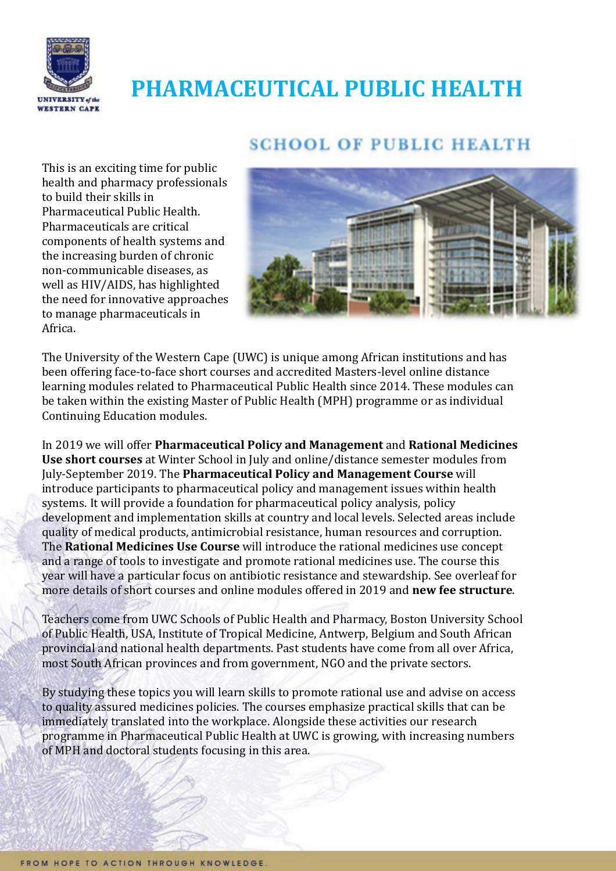

# **PHARMACEUTICAL PUBLIC HEALTH**

# **SCHOOL OF PUBLIC HEALTH**

This is an exciting time for public health and pharmacy professionals to build their skills in Pharmaceutical Public Health. Pharmaceuticals are critical components of health systems and the increasing burden of chronic non-communicable diseases, as well as HIV/AIDS, has highlighted the need for innovative approaches to manage pharmaceuticals in Africa.



The University of the Western Cape (UWC) is unique among African institutions and has been offering face-to-face short courses and accredited Masters-level online distance learning modules related to Pharmaceutical Public Health since 2014. These modules can be taken within the existing Master of Public Health (MPH) programme or as individual Continuing Education modules.

In 2019 we will offer **Pharmaceutical Policy and Management** and **Rational Medicines Use short courses** at Winter School in July and online/distance semester modules from July-September 2019. The **Pharmaceutical Policy and Management Course** will introduce participants to pharmaceutical policy and management issues within health systems. It will provide a foundation for pharmaceutical policy analysis, policy development and implementation skills at country and local levels. Selected areas include quality of medical products, antimicrobial resistance, human resources and corruption. The **Rational Medicines Use Course** will introduce the rational medicines use concept and a range of tools to investigate and promote rational medicines use. The course this year will have a particular focus on antibiotic resistance and stewardship. See overleaf for more details of short courses and online modules offered in 2019 and **new fee structure**.

Teachers come from UWC Schools of Public Health and Pharmacy, Boston University School of Public Health, USA, Institute of Tropical Medicine, Antwerp, Belgium and South African provincial and national health departments. Past students have come from all over Africa, most South African provinces and from government, NGO and the private sectors.

By studying these topics you will learn skills to promote rational use and advise on access to quality assured medicines policies. The courses emphasize practical skills that can be immediately translated into the workplace. Alongside these activities our research programme in Pharmaceutical Public Health at UWC is growing, with increasing numbers of MPH and doctoral students focusing in this area.